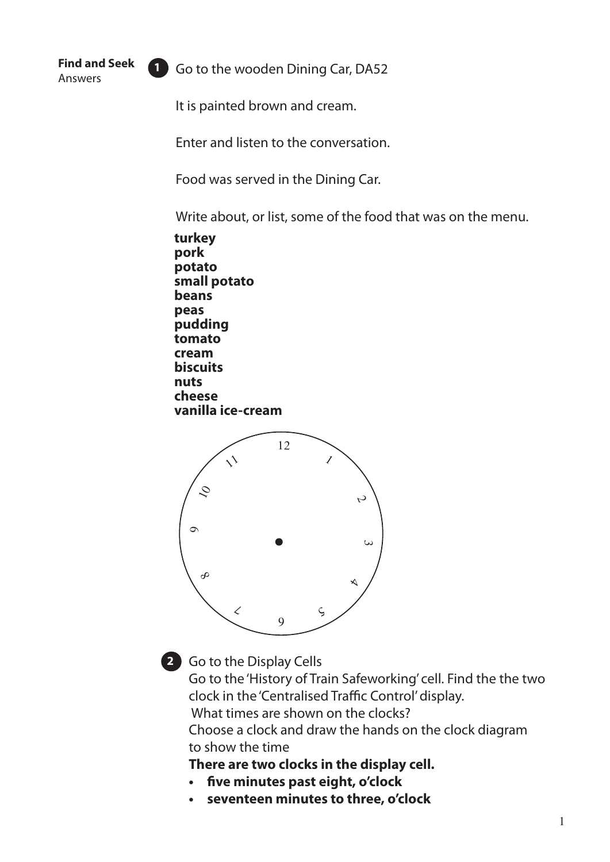**Find and Seek** Answers

**1** Go to the wooden Dining Car, DA52

It is painted brown and cream.

Enter and listen to the conversation.

Food was served in the Dining Car.

Write about, or list, some of the food that was on the menu.

**turkey pork potato small potato beans peas pudding tomato cream biscuits nuts cheese vanilla ice-cream**





Go to the Display Cells **2**

Go to the 'History of Train Safeworking' cell. Find the the two clock in the 'Centralised Traffic Control' display.

What times are shown on the clocks?

Choose a clock and draw the hands on the clock diagram to show the time

**There are two clocks in the display cell.**

- **• five minutes past eight, o'clock**
- **• seventeen minutes to three, o'clock**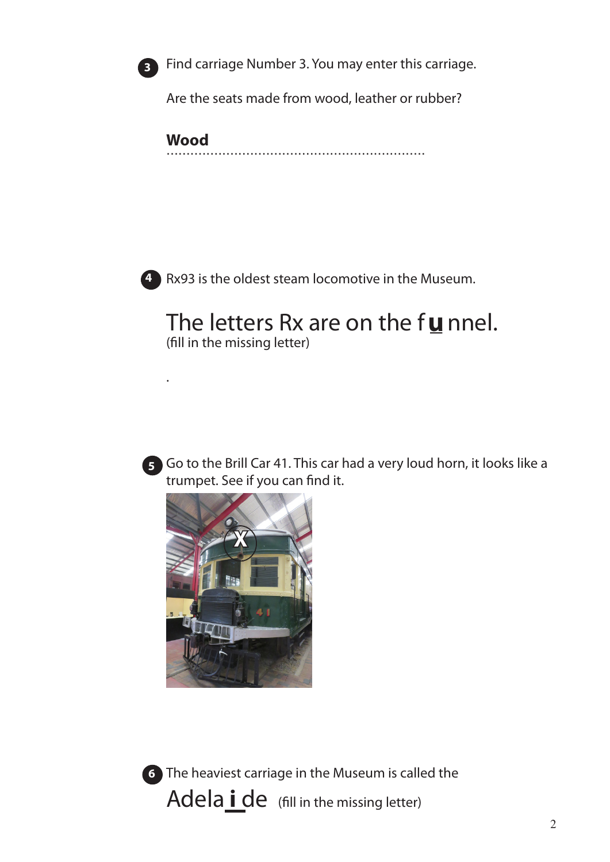

Find carriage Number 3. You may enter this carriage.

Are the seats made from wood, leather or rubber?

**Wood** 



4 Rx93 is the oldest steam locomotive in the Museum.

# The letters Rx are on the funnel.

(fill in the missing letter)



5 Go to the Brill Car 41. This car had a very loud horn, it looks like a trumpet. See if you can find it.





6 The heaviest carriage in the Museum is called the Adelaide (fill in the missing letter)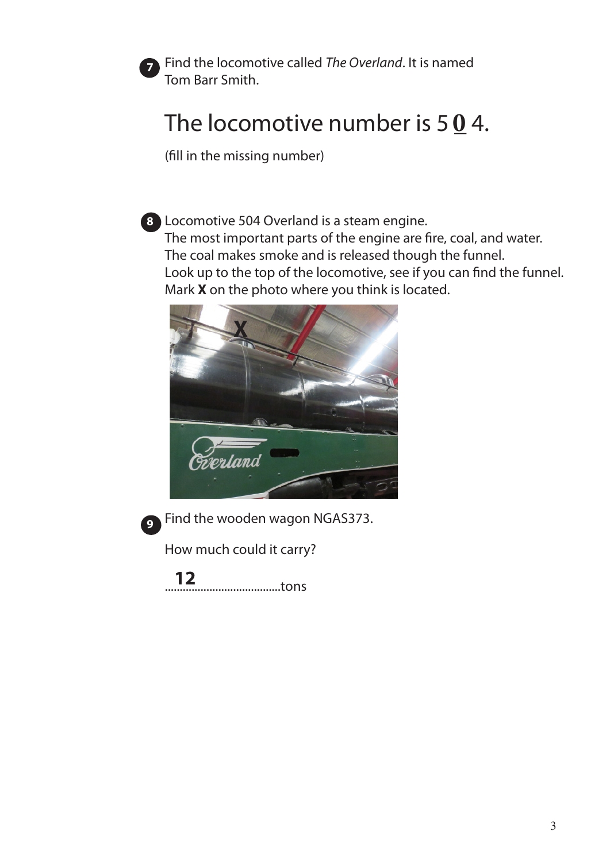

Find the locomotive called *The Overland*. It is named Tom Barr Smith.

## The locomotive number is  $5 \underline{0}$  4.

(fill in the missing number)

**8** Locomotive 504 Overland is a steam engine. The most important parts of the engine are fire, coal, and water. The coal makes smoke and is released though the funnel. Look up to the top of the locomotive, see if you can find the funnel. Mark **X** on the photo where you think is located.





Find the wooden wagon NGAS373. **9**

How much could it carry?

.......................................tons **12**